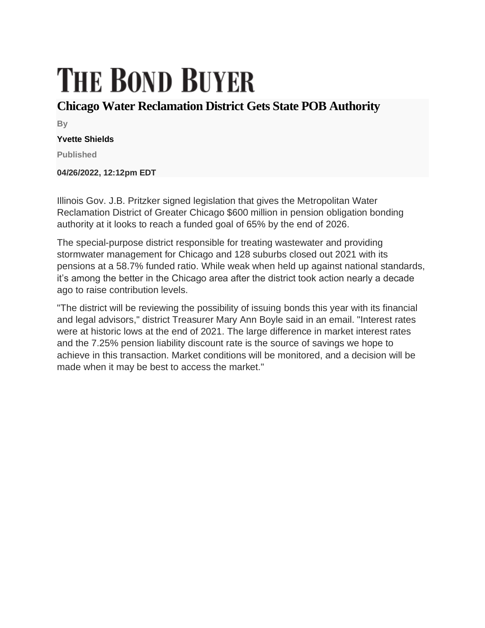## **THE BOND BUYER**

## **Chicago Water Reclamation District Gets State POB Authority**

**By**

## **Yvette Shields**

**Published**

**04/26/2022, 12:12pm EDT**

Illinois Gov. J.B. Pritzker signed legislation that gives the Metropolitan Water Reclamation District of Greater Chicago \$600 million in pension obligation bonding authority at it looks to reach a funded goal of 65% by the end of 2026.

The special-purpose district responsible for treating wastewater and providing stormwater management for Chicago and 128 suburbs closed out 2021 with its pensions at a 58.7% funded ratio. While weak when held up against national standards, it's among the better in the Chicago area after the district took action nearly a decade ago to raise contribution levels.

"The district will be reviewing the possibility of issuing bonds this year with its financial and legal advisors," district Treasurer Mary Ann Boyle said in an email. "Interest rates were at historic lows at the end of 2021. The large difference in market interest rates and the 7.25% pension liability discount rate is the source of savings we hope to achieve in this transaction. Market conditions will be monitored, and a decision will be made when it may be best to access the market."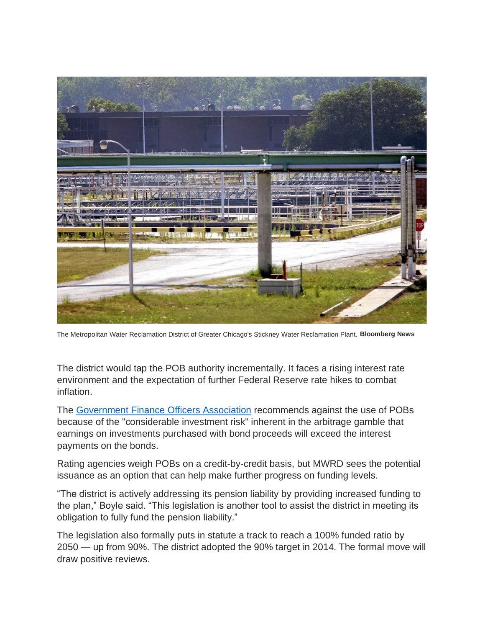

The Metropolitan Water Reclamation District of Greater Chicago's Stickney Water Reclamation Plant. **Bloomberg News**

The district would tap the POB authority incrementally. It faces a rising interest rate environment and the expectation of further Federal Reserve rate hikes to combat inflation.

The [Government Finance Officers Association](https://www.gfoa.org/materials/pension-obligation-bonds) recommends against the use of POBs because of the "considerable investment risk" inherent in the arbitrage gamble that earnings on investments purchased with bond proceeds will exceed the interest payments on the bonds.

Rating agencies weigh POBs on a credit-by-credit basis, but MWRD sees the potential issuance as an option that can help make further progress on funding levels.

"The district is actively addressing its pension liability by providing increased funding to the plan," Boyle said. "This legislation is another tool to assist the district in meeting its obligation to fully fund the pension liability."

The legislation also formally puts in statute a track to reach a 100% funded ratio by 2050 — up from 90%. The district adopted the 90% target in 2014. The formal move will draw positive reviews.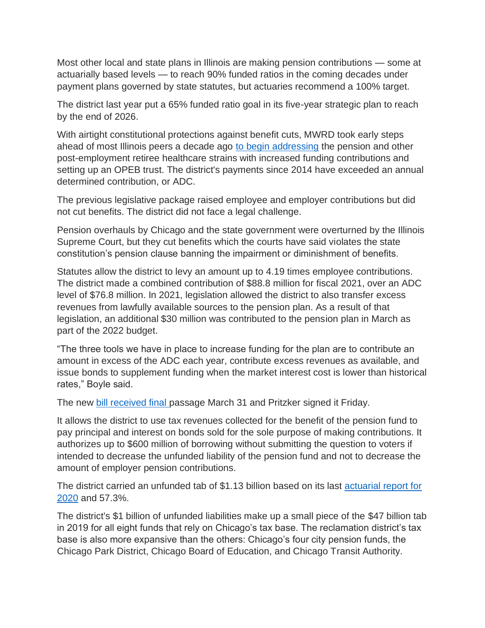Most other local and state plans in Illinois are making pension contributions — some at actuarially based levels — to reach 90% funded ratios in the coming decades under payment plans governed by state statutes, but actuaries recommend a 100% target.

The district last year put a 65% funded ratio goal in its five-year strategic plan to reach by the end of 2026.

With airtight constitutional protections against benefit cuts, MWRD took early steps ahead of most Illinois peers a decade ago [to begin addressing](https://www.bondbuyer.com/news/mwrd-of-chicago-budget-praised) the pension and other post-employment retiree healthcare strains with increased funding contributions and setting up an OPEB trust. The district's payments since 2014 have exceeded an annual determined contribution, or ADC.

The previous legislative package raised employee and employer contributions but did not cut benefits. The district did not face a legal challenge.

Pension overhauls by Chicago and the state government were overturned by the Illinois Supreme Court, but they cut benefits which the courts have said violates the state constitution's pension clause banning the impairment or diminishment of benefits.

Statutes allow the district to levy an amount up to 4.19 times employee contributions. The district made a combined contribution of \$88.8 million for fiscal 2021, over an ADC level of \$76.8 million. In 2021, legislation allowed the district to also transfer excess revenues from lawfully available sources to the pension plan. As a result of that legislation, an additional \$30 million was contributed to the pension plan in March as part of the 2022 budget.

"The three tools we have in place to increase funding for the plan are to contribute an amount in excess of the ADC each year, contribute excess revenues as available, and issue bonds to supplement funding when the market interest cost is lower than historical rates," Boyle said.

The new [bill received final](https://www.ilga.gov/legislation/publicacts/fulltext.asp?name=102-0707&GA=102&SessionId=110&DocTypeId=HB&DocNum=4677&GAID=16&SpecSess=&Session=) passage March 31 and Pritzker signed it Friday.

It allows the district to use tax revenues collected for the benefit of the pension fund to pay principal and interest on bonds sold for the sole purpose of making contributions. It authorizes up to \$600 million of borrowing without submitting the question to voters if intended to decrease the unfunded liability of the pension fund and not to decrease the amount of employer pension contributions.

The district carried an unfunded tab of \$1.13 billion based on its last actuarial report for [2020](https://mwrdrf.org/media/2543/12-31-2020-rf-actuarial-valuation-final-draft-for-mwrd.pdf) and 57.3%.

The district's \$1 billion of unfunded liabilities make up a small piece of the \$47 billion tab in 2019 for all eight funds that rely on Chicago's tax base. The reclamation district's tax base is also more expansive than the others: Chicago's four city pension funds, the Chicago Park District, Chicago Board of Education, and Chicago Transit Authority.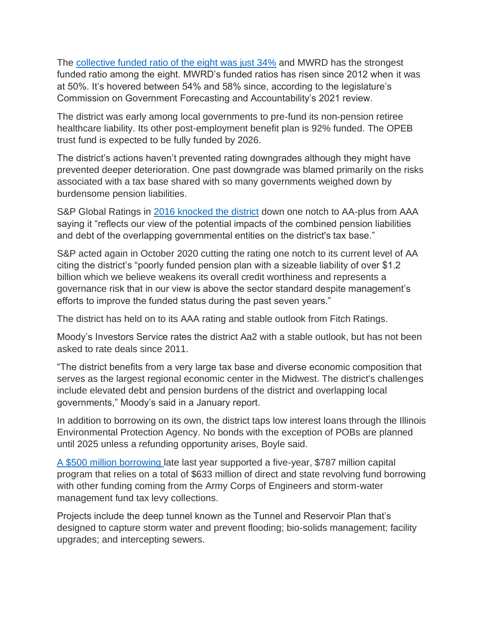The [collective funded ratio of the eight was just 34%](https://cgfa.ilga.gov/Upload/Small_Systems_2020.pdf) and MWRD has the strongest funded ratio among the eight. MWRD's funded ratios has risen since 2012 when it was at 50%. It's hovered between 54% and 58% since, according to the legislature's Commission on Government Forecasting and Accountability's 2021 review.

The district was early among local governments to pre-fund its non-pension retiree healthcare liability. Its other post-employment benefit plan is 92% funded. The OPEB trust fund is expected to be fully funded by 2026.

The district's actions haven't prevented rating downgrades although they might have prevented deeper deterioration. One past downgrade was blamed primarily on the risks associated with a tax base shared with so many governments weighed down by burdensome pension liabilities.

S&P Global Ratings in [2016 knocked the district](https://www.bondbuyer.com/news/why-chicagos-met-water-lost-a-triple-a-rating) down one notch to AA-plus from AAA saying it "reflects our view of the potential impacts of the combined pension liabilities and debt of the overlapping governmental entities on the district's tax base."

S&P acted again in October 2020 cutting the rating one notch to its current level of AA citing the district's "poorly funded pension plan with a sizeable liability of over \$1.2 billion which we believe weakens its overall credit worthiness and represents a governance risk that in our view is above the sector standard despite management's efforts to improve the funded status during the past seven years."

The district has held on to its AAA rating and stable outlook from Fitch Ratings.

Moody's Investors Service rates the district Aa2 with a stable outlook, but has not been asked to rate deals since 2011.

"The district benefits from a very large tax base and diverse economic composition that serves as the largest regional economic center in the Midwest. The district's challenges include elevated debt and pension burdens of the district and overlapping local governments," Moody's said in a January report.

In addition to borrowing on its own, the district taps low interest loans through the Illinois Environmental Protection Agency. No bonds with the exception of POBs are planned until 2025 unless a refunding opportunity arises, Boyle said.

[A \\$500 million borrowing](https://www.bondbuyer.com/news/chicago-wastewater-district-tees-up-its-bond-market-return) late last year supported a five-year, \$787 million capital program that relies on a total of \$633 million of direct and state revolving fund borrowing with other funding coming from the Army Corps of Engineers and storm-water management fund tax levy collections.

Projects include the deep tunnel known as the Tunnel and Reservoir Plan that's designed to capture storm water and prevent flooding; bio-solids management; facility upgrades; and intercepting sewers.